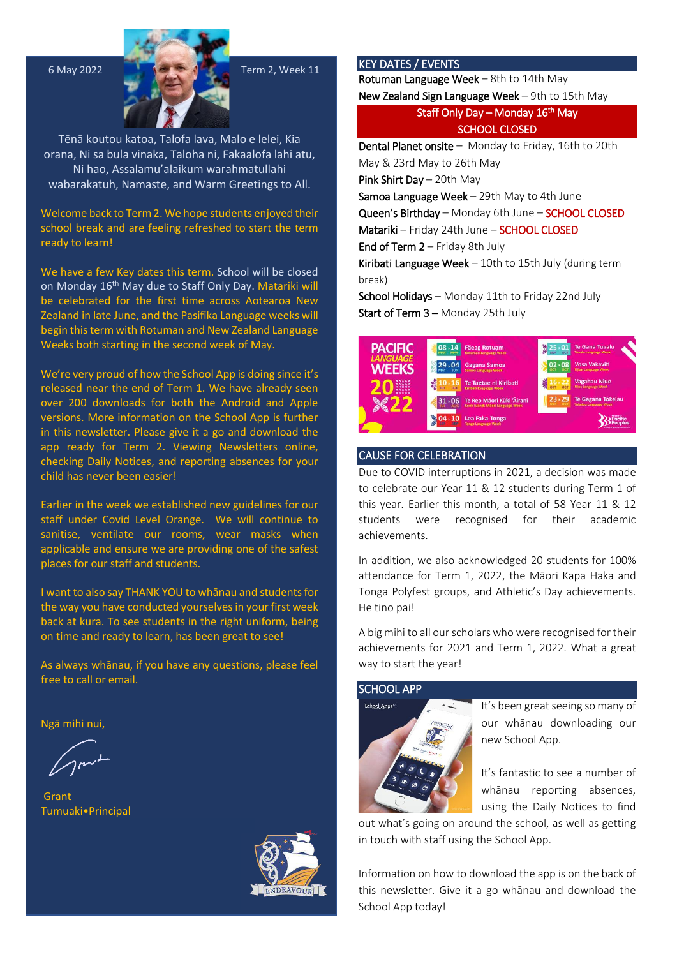

Tēnā koutou katoa, Talofa lava, Malo e lelei, Kia orana, Ni sa bula vinaka, Taloha ni, Fakaalofa lahi atu, Ni hao, Assalamu'alaikum warahmatullahi wabarakatuh, Namaste, and Warm Greetings to All.

Welcome back to Term 2. We hope students enjoyed their school break and are feeling refreshed to start the term ready to learn!

We have a few Key dates this term. School will be closed on Monday 16<sup>th</sup> May due to Staff Only Day. Matariki will be celebrated for the first time across Aotearoa New Zealand in late June, and the Pasifika Language weeks will begin this term with Rotuman and New Zealand Language Weeks both starting in the second week of May.

We're very proud of how the School App is doing since it's released near the end of Term 1. We have already seen over 200 downloads for both the Android and Apple versions. More information on the School App is further in this newsletter. Please give it a go and download the app ready for Term 2. Viewing Newsletters online, checking Daily Notices, and reporting absences for your child has never been easier!

Earlier in the week we established new guidelines for our staff under Covid Level Orange. We will continue to sanitise, ventilate our rooms, wear masks when applicable and ensure we are providing one of the safest places for our staff and students.

I want to also say THANK YOU to whānau and students for the way you have conducted yourselves in your first week back at kura. To see students in the right uniform, being on time and ready to learn, has been great to see!

As always whānau, if you have any questions, please feel free to call or email.

Ngā mihi nui,

 Grant Tumuaki•Principal



## KEY DATES / EVENTS

Rotuman Language Week – 8th to 14th May

New Zealand Sign Language Week – 9th to 15th May

Staff Only Day – Monday 16<sup>th</sup> May SCHOOL CLOSED

Dental Planet onsite – Monday to Friday, 16th to 20th May & 23rd May to 26th May

Pink Shirt Day – 20th May

Samoa Language Week - 29th May to 4th June

Queen's Birthday – Monday 6th June – SCHOOL CLOSED Matariki – Friday 24th June – SCHOOL CLOSED

End of Term  $2$  – Friday 8th July

Kiribati Language Week - 10th to 15th July (during term break)

School Holidays – Monday 11th to Friday 22nd July Start of Term 3 - Monday 25th July



## CAUSE FOR CELEBRATION

Due to COVID interruptions in 2021, a decision was made to celebrate our Year 11 & 12 students during Term 1 of this year. Earlier this month, a total of 58 Year 11 & 12 students were recognised for their academic achievements.

In addition, we also acknowledged 20 students for 100% attendance for Term 1, 2022, the Māori Kapa Haka and Tonga Polyfest groups, and Athletic's Day achievements. He tino pai!

A big mihi to all our scholars who were recognised for their achievements for 2021 and Term 1, 2022. What a great way to start the year!

#### SCHOOL APP



It's been great seeing so many of our whānau downloading our new School App.

It's fantastic to see a number of whānau reporting absences, using the Daily Notices to find

out what's going on around the school, as well as getting in touch with staff using the School App.

Information on how to download the app is on the back of this newsletter. Give it a go whānau and download the School App today!